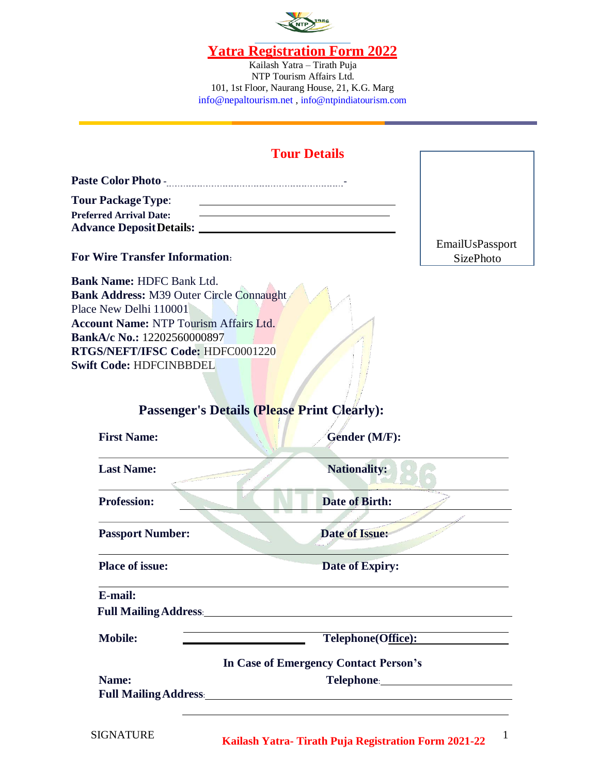

Kailash Yatra – Tirath Puja NTP Tourism Affairs Ltd. 101, 1st Floor, Naurang House, 21, K.G. Marg [info@nepaltourism.net](mailto:info@nepaltourism.net) , [info@ntpindiatourism.com](mailto:info@nepaltourism.net)

# **Tour Details**

| <b>Paste Color Photo -</b>      |  |
|---------------------------------|--|
| <b>Tour Package Type:</b>       |  |
| <b>Preferred Arrival Date:</b>  |  |
| <b>Advance Deposit Details:</b> |  |

#### **For Wire Transfer Information:**

**Bank Name:** HDFC Bank Ltd. **Bank Address:** M39 Outer Circle Connaught Place New Delhi 110001 **Account Name:** NTP Tourism Affairs Ltd. **BankA/c No.:** 12202560000897 **RTGS/NEFT/IFSC Code:** HDFC0001220 **Swift Code:** HDFCINBBDEL

EmailUsPassport SizePhoto

# **Passenger's Details (Please Print Clearly):**

| <b>Nationality:</b><br><b>Last Name:</b><br><b>Profession:</b><br><b>Date of Birth:</b><br><b>Date of Issue:</b><br><b>Passport Number:</b>                                                                                                                                                                              | Gender (M/F): |
|--------------------------------------------------------------------------------------------------------------------------------------------------------------------------------------------------------------------------------------------------------------------------------------------------------------------------|---------------|
|                                                                                                                                                                                                                                                                                                                          |               |
|                                                                                                                                                                                                                                                                                                                          |               |
|                                                                                                                                                                                                                                                                                                                          |               |
| <b>Place of issue:</b><br><b>Date of Expiry:</b>                                                                                                                                                                                                                                                                         |               |
| E-mail:                                                                                                                                                                                                                                                                                                                  |               |
| <b>Full Mailing Address:</b> National Property of the Mailing Address:                                                                                                                                                                                                                                                   |               |
| <b>Mobile:</b><br>Telephone(Office):                                                                                                                                                                                                                                                                                     |               |
| <b>In Case of Emergency Contact Person's</b>                                                                                                                                                                                                                                                                             |               |
| Name:<br>Telephone: The Contract of the Contract of the Contract of the Contract of the Contract of the Contract of the Contract of the Contract of the Contract of the Contract of the Contract of the Contract of the Contract of the<br><b>Full Mailing Address:</b><br><u> 1989 - Andrea Andrew Maria (h. 1989).</u> |               |
|                                                                                                                                                                                                                                                                                                                          |               |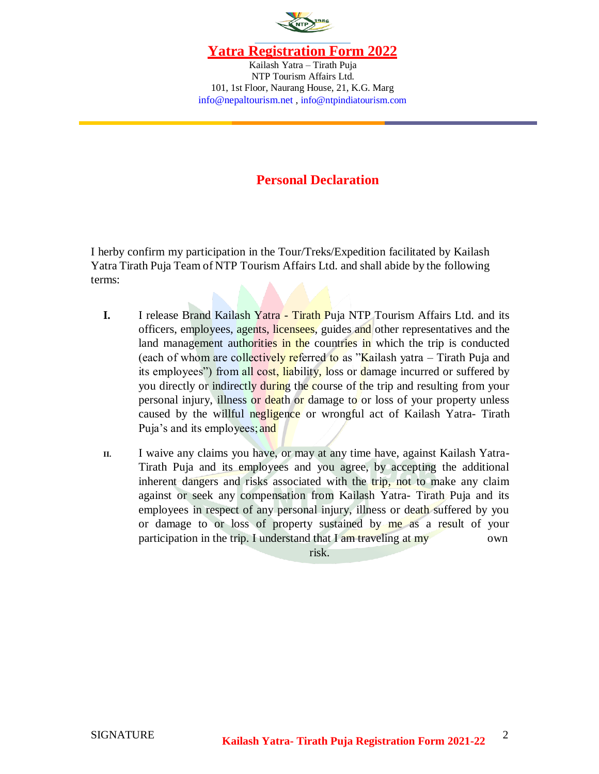

Kailash Yatra – Tirath Puja NTP Tourism Affairs Ltd. 101, 1st Floor, Naurang House, 21, K.G. Marg [info@nepaltourism.net](mailto:info@nepaltourism.net) , [info@ntpindiatourism.com](mailto:info@nepaltourism.net)

## **Personal Declaration**

I herby confirm my participation in the Tour/Treks/Expedition facilitated by Kailash Yatra Tirath Puja Team of NTP Tourism Affairs Ltd. and shall abide by the following terms:

- **I.** I release Brand Kailash Yatra Tirath Puja NTP Tourism Affairs Ltd. and its officers, employees, agents, licensees, guides and other representatives and the land management authorities in the countries in which the trip is conducted (each of whom are collectively referred to as "Kailash yatra – Tirath Puja and its employees") from all cost, liability, loss or damage incurred or suffered by you directly or indirectly during the course of the trip and resulting from your personal injury, illness or death or damage to or loss of your property unless caused by the willful negligence or wrongful act of Kailash Yatra- Tirath Puja's and its employees; and
- **II.** I waive any claims you have, or may at any time have, against Kailash Yatra-Tirath Puja and its employees and you agree, by accepting the additional inherent dangers and risks associated with the trip, not to make any claim against or seek any compensation from Kailash Yatra- Tirath Puja and its employees in respect of any personal injury, illness or death suffered by you or damage to or loss of property sustained by me as a result of your participation in the trip. I understand that I am traveling at my

risk.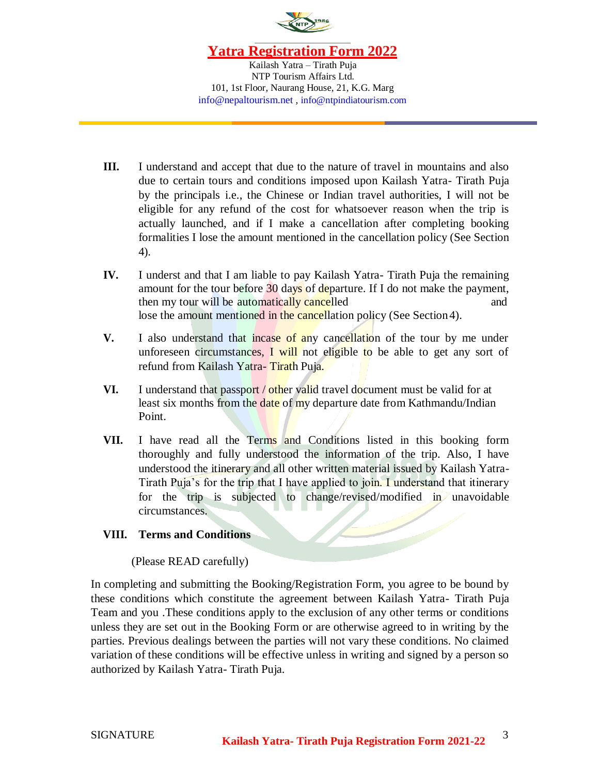

Kailash Yatra – Tirath Puja NTP Tourism Affairs Ltd. 101, 1st Floor, Naurang House, 21, K.G. Marg [info@nepaltourism.net](mailto:info@nepaltourism.net) , [info@ntpindiatourism.com](mailto:info@nepaltourism.net)

- **III.** I understand and accept that due to the nature of travel in mountains and also due to certain tours and conditions imposed upon Kailash Yatra- Tirath Puja by the principals i.e., the Chinese or Indian travel authorities, I will not be eligible for any refund of the cost for whatsoever reason when the trip is actually launched, and if I make a cancellation after completing booking formalities I lose the amount mentioned in the cancellation policy (See Section 4).
- **IV.** I underst and that I am liable to pay Kailash Yatra- Tirath Puja the remaining amount for the tour before 30 days of departure. If I do not make the payment, then my tour will be automatically cancelled and and lose the amount mentioned in the cancellation policy (See Section 4).
- **V.** I also understand that incase of any cancellation of the tour by me under unforeseen circumstances, I will not eligible to be able to get any sort of refund from Kailash Yatra- Tirath Puja.
- **VI.** I understand that passport / other valid travel document must be valid for at least six months from the date of my departure date from Kathmandu/Indian Point.
- **VII.** I have read all the Terms and Conditions listed in this booking form thoroughly and fully understood the information of the trip. Also, I have understood the itinerary and all other written material issued by Kailash Yatra-Tirath Puja's for the trip that I have applied to join. I understand that itinerary for the trip is subjected to change/revised/modified in unavoidable circumstances.

#### **VIII. Terms and Conditions**

#### (Please READ carefully)

In completing and submitting the Booking/Registration Form, you agree to be bound by these conditions which constitute the agreement between Kailash Yatra- Tirath Puja Team and you .These conditions apply to the exclusion of any other terms or conditions unless they are set out in the Booking Form or are otherwise agreed to in writing by the parties. Previous dealings between the parties will not vary these conditions. No claimed variation of these conditions will be effective unless in writing and signed by a person so authorized by Kailash Yatra- Tirath Puja.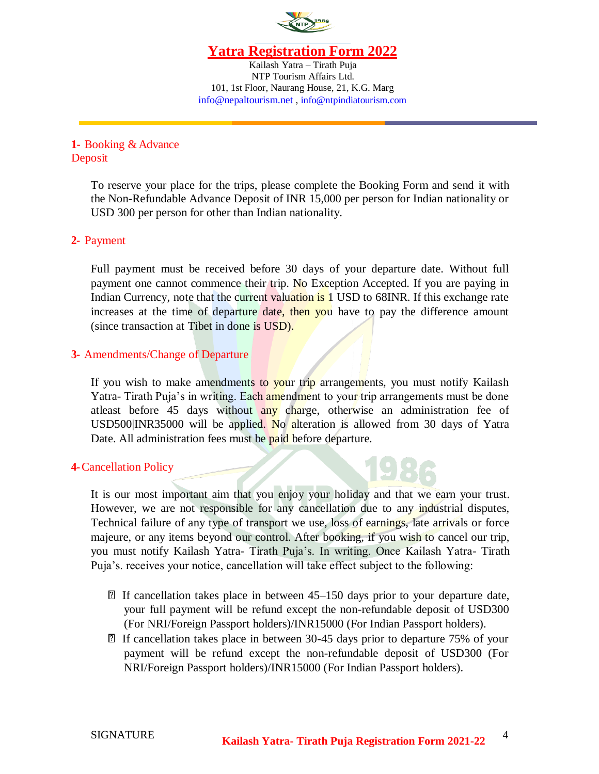

Kailash Yatra – Tirath Puja NTP Tourism Affairs Ltd. 101, 1st Floor, Naurang House, 21, K.G. Marg [info@nepaltourism.net](mailto:info@nepaltourism.net) , [info@ntpindiatourism.com](mailto:info@nepaltourism.net)

### **1-** Booking & Advance Deposit

To reserve your place for the trips, please complete the Booking Form and send it with the Non-Refundable Advance Deposit of INR 15,000 per person for Indian nationality or USD 300 per person for other than Indian nationality.

### **2-** Payment

Full payment must be received before 30 days of your departure date. Without full payment one cannot commence their trip. No Exception Accepted. If you are paying in Indian Currency, note that the current valuation is 1 USD to 68INR. If this exchange rate increases at the time of departure date, then you have to pay the difference amount (since transaction at Tibet in done is USD).

### **3-** Amendments/Change of Departure

If you wish to make amendments to your trip arrangements, you must notify Kailash Yatra- Tirath Puja's in writing. Each amendment to your trip arrangements must be done atleast before 45 days without any charge, otherwise an administration fee of USD500|INR35000 will be applied. No alteration is allowed from 30 days of Yatra Date. All administration fees must be paid before departure.

#### **4-**Cancellation Policy

It is our most important aim that you enjoy your holiday and that we earn your trust. However, we are not responsible for any cancellation due to any industrial disputes, Technical failure of any type of transport we use, loss of earnings, late arrivals or force majeure, or any items beyond our control. After booking, if you wish to cancel our trip, you must notify Kailash Yatra- Tirath Puja's. In writing. Once Kailash Yatra- Tirath Puja's. receives your notice, cancellation will take effect subject to the following:

- $\mathbb{\Omega}$  If cancellation takes place in between 45–150 days prior to your departure date, your full payment will be refund except the non-refundable deposit of USD300 (For NRI/Foreign Passport holders)/INR15000 (For Indian Passport holders).
- If cancellation takes place in between 30-45 days prior to departure 75% of your payment will be refund except the non-refundable deposit of USD300 (For NRI/Foreign Passport holders)/INR15000 (For Indian Passport holders).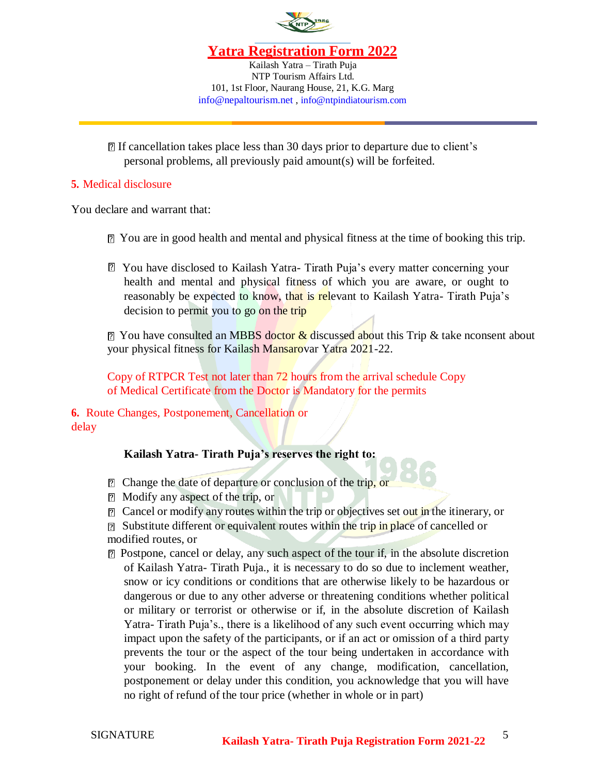

Kailash Yatra – Tirath Puja NTP Tourism Affairs Ltd. 101, 1st Floor, Naurang House, 21, K.G. Marg [info@nepaltourism.net](mailto:info@nepaltourism.net) , [info@ntpindiatourism.com](mailto:info@nepaltourism.net)

If cancellation takes place less than 30 days prior to departure due to client's personal problems, all previously paid amount(s) will be forfeited.

#### **5.** Medical disclosure

You declare and warrant that:

- You are in good health and mental and physical fitness at the time of booking this trip.
- You have disclosed to Kailash Yatra- Tirath Puja's every matter concerning your health and mental and physical fitness of which you are aware, or ought to reasonably be expected to know, that is relevant to Kailash Yatra- Tirath Puja's decision to permit you to go on the trip

 $\boxed{2}$  You have consulted an MBBS doctor & discussed about this Trip & take nconsent about your physical fitness for Kailash Mansarovar Yatra 2021-22.

Copy of RTPCR Test not later than 72 hours from the arrival schedule Copy of Medical Certificate from the Doctor is Mandatory for the permits

**6.** Route Changes, Postponement, Cancellation or delay

## **Kailash Yatra- Tirath Puja's reserves the right to:**

- **P** Change the date of departure or conclusion of the trip, or
- Modify any aspect of the trip, or
- $\boxed{2}$  Cancel or modify any routes within the trip or objectives set out in the itinerary, or
- **Substitute different or equivalent routes within the trip in place of cancelled or** modified routes, or
- Postpone, cancel or delay, any such aspect of the tour if, in the absolute discretion of Kailash Yatra- Tirath Puja., it is necessary to do so due to inclement weather, snow or icy conditions or conditions that are otherwise likely to be hazardous or dangerous or due to any other adverse or threatening conditions whether political or military or terrorist or otherwise or if, in the absolute discretion of Kailash Yatra- Tirath Puja's., there is a likelihood of any such event occurring which may impact upon the safety of the participants, or if an act or omission of a third party prevents the tour or the aspect of the tour being undertaken in accordance with your booking. In the event of any change, modification, cancellation, postponement or delay under this condition, you acknowledge that you will have no right of refund of the tour price (whether in whole or in part)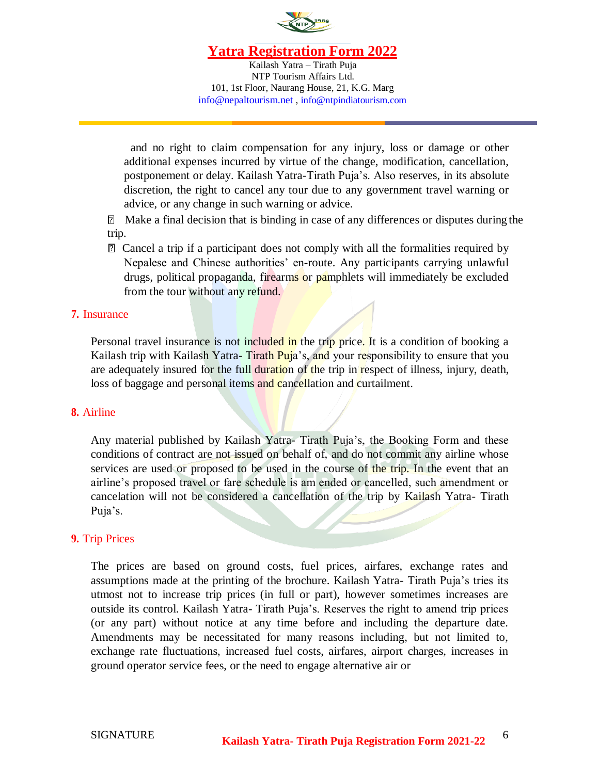

Kailash Yatra – Tirath Puja NTP Tourism Affairs Ltd. 101, 1st Floor, Naurang House, 21, K.G. Marg [info@nepaltourism.net](mailto:info@nepaltourism.net) , [info@ntpindiatourism.com](mailto:info@nepaltourism.net)

and no right to claim compensation for any injury, loss or damage or other additional expenses incurred by virtue of the change, modification, cancellation, postponement or delay. Kailash Yatra-Tirath Puja's. Also reserves, in its absolute discretion, the right to cancel any tour due to any government travel warning or advice, or any change in such warning or advice.

Make a final decision that is binding in case of any differences or disputes during the trip.

Cancel a trip if a participant does not comply with all the formalities required by Nepalese and Chinese authorities' en-route. Any participants carrying unlawful drugs, political propaganda, firearms or pamphlets will immediately be excluded from the tour without any refund.

#### **7.** Insurance

Personal travel insurance is not included in the trip price. It is a condition of booking a Kailash trip with Kailash Yatra-Tirath Puja's, and your responsibility to ensure that you are adequately insured for the full duration of the trip in respect of illness, injury, death, loss of baggage and personal items and cancellation and curtailment.

#### **8.** Airline

Any material published by Kailash Yatra- Tirath Puja's, the Booking Form and these conditions of contract are not issued on behalf of, and do not commit any airline whose services are used or proposed to be used in the course of the trip. In the event that an airline's proposed travel or fare schedule is am ended or cancelled, such amendment or cancelation will not be considered a cancellation of the trip by Kailash Yatra- Tirath Puja's.

#### **9.** Trip Prices

The prices are based on ground costs, fuel prices, airfares, exchange rates and assumptions made at the printing of the brochure. Kailash Yatra- Tirath Puja's tries its utmost not to increase trip prices (in full or part), however sometimes increases are outside its control. Kailash Yatra- Tirath Puja's. Reserves the right to amend trip prices (or any part) without notice at any time before and including the departure date. Amendments may be necessitated for many reasons including, but not limited to, exchange rate fluctuations, increased fuel costs, airfares, airport charges, increases in ground operator service fees, or the need to engage alternative air or